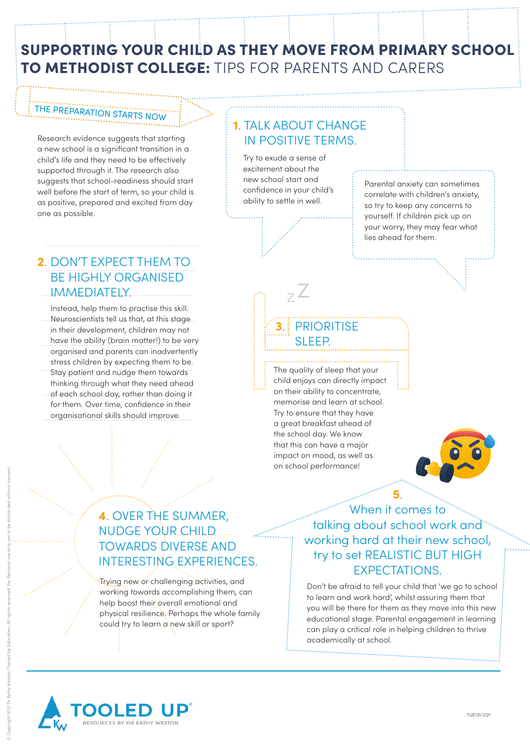## SUPPORTING YOUR CHILD AS THEY MOVE FROM PRIMARY SCHOOL TO METHODIST COLLEGE: TIPS FOR PARENTS AND CARERS

## THE PREPARATION STARTS NOW

Research evidence suggests that starting a new school is a significant transition in a child's life and they need to be effectively supported through it. The research also suggests that school-readiness should start well before the start of term, so your child is as positive, prepared and excited from day one as possible.

# IN POSITIVE TERMS.

1. TALK ABOUT CHANGE

Try to exude a sense of excitement about the new school start and confidence in your child's ability to settle in well.

> Z Z

Parental anxiety can sometimes correlate with children's anxiety, so try to keep any concerns to yourself. If children pick up on your worry, they may fear what lies ahead for them. ..............................................................

### 2. DON'T EXPECT THEM TO ............................................................. IMMEDIATELY. BE HIGHLY ORGANISED

....Neuroscientists tell us that, at this stage... have the ability (brain matter!) to be very Instead, help them to practise this skill. in their development, children may not organised and parents can inadvertently stress children by expecting them to be.

- stress crimateri by expecting mem to be.<br>\*\*\* Stay patient and nudge them towards of each school day, rather than doing it thinking through what they need ahead
- ............................................................. organisational skills should improve. for them. Over time, confidence in their

# SLEEP.

The quality of sleep that your child enjoys can directly impact on their ability to concentrate, memorise and learn at school. Try to ensure that they have a great breakfast ahead of the school day. We know that this can have a major impact on mood, as well as **3.** PRIORITISE<br>
SLEEP.<br>
manuscription school performance and learn at star and the school day. We know<br>
that this can have a majing impact on mood, as well<br>
on school performance!<br>
on school performance!



# 4. OVER THE SUMMER,<br>NUDGE YOUR CHILD.......<br>TOWARDS DIVERSE AND<br>INTERESTING EXPERIEN<br>Trying new of challenging activities, a<br>working towards accomplishing them,<br>help boost their overall emotional and<br>physical resilience, P NUDGE YOUR CHILD **TOWARDS DIVERSE AND** INTERESTING EXPERIENCES.

Trying new or challenging activities, and working towards accomplishing them, can help boost their overall emotional and physical resilience. Perhaps the whole family

When it comes to talking about school work and working hard at their new school, try to set REALISTIC BUT HIGH EXPECTATIONS.

5.

Don't be afraid to tell your child that 'we go to school to learn and work hard', whilst assuring them that you will be there for them as they move into this new educational stage. Parental engagement in learning can play a critical role in helping children to thrive academically at school.

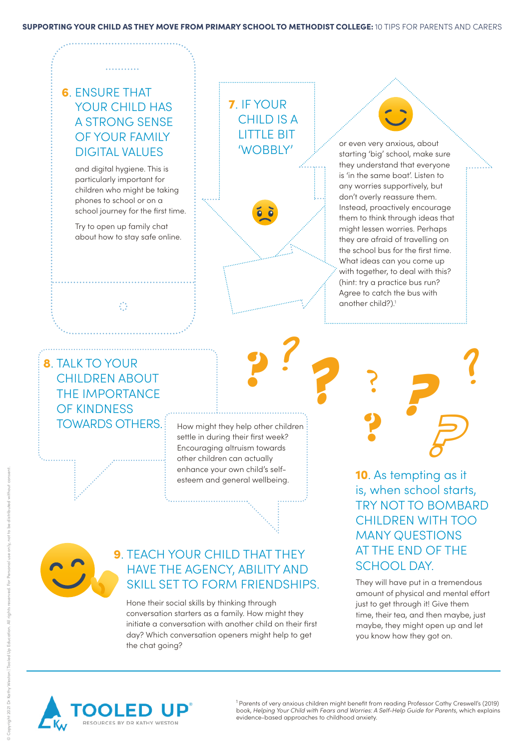#### SUPPORTING YOUR CHILD AS THEY MOVE FROM PRIMARY SCHOOL TO METHODIST COLLEGE: 10 TIPS FOR PARENTS AND CARERS

## 6. ENSURE THAT YOUR CHILD HAS A STRONG SENSE OF YOUR FAMILY DIGITAL VALUES

and digital hygiene. This is particularly important for children who might be taking phones to school or on a school journey for the first time.

Try to open up family chat about how to stay safe online.

 $\mathbb{C}^2$ 

7 . IF YOUR CHILD IS A LITTLE BIT 'WOBBLY'

or even very anxious, about starting 'big' school, make sure they understand that everyone is 'in the same boat'. Listen to any worries supportively, but don't overly reassure them. Instead, proactively encourage them to think through ideas that might lessen worries. Perhaps they are afraid of travelling on the school bus for the first time. What ideas can you come up with together, to deal with this? (hint: try a practice bus run? Agree to catch the bus with another child?). 1

## 8. TALK TO YOUR CHILDREN ABOUT THE IMPORTANCE OF KINDNESS

TOWARDS OTHERS. How might they help other children settle in during their first week? Encouraging altruism towards other children can actually enhance your own child's selfesteem and general wellbeing.

?

?

**?**



## **9. TEACH YOUR CHILD THAT THEY** HAVE THE AGENCY, ABILITY AND SKILL SET TO FORM FRIENDSHIPS.

Hone their social skills by thinking through conversation starters as a family. How might they initiate a conversation with another child on their first day? Which conversation openers might help to get the chat going?



10. As tempting as it is, when school starts, TRY NOT TO BOMBARD CHILDREN WITH TOO MANY QUESTIONS AT THE END OF THE

They will have put in a tremendous amount of physical and mental effort just to get through it! Give them time, their tea, and then maybe, just maybe, they might open up and let you know how they got on.



<sup>1</sup> Parents of very anxious children might benefit from reading Professor Cathy Creswell's (2019) book, *Helping Your Child with Fears and Worries: A Self-Help Guide for Parents*, which explains evidence-based approaches to childhood anxiety.